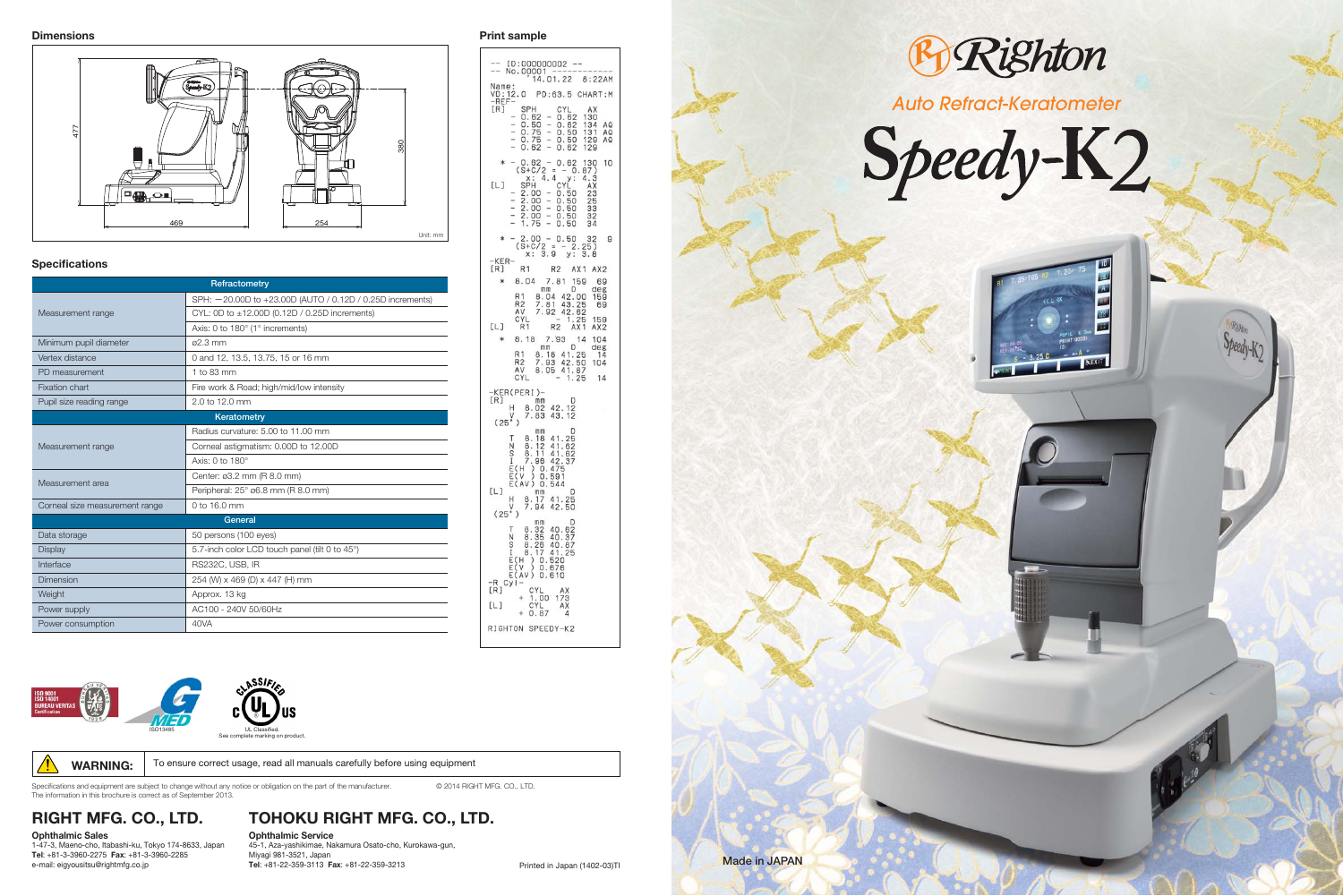

Specifications and equipment are subject to change without any notice or obligation on the part of the manufacturer. © 2014 RIGHT MFG. CO., LTD. The information in this brochure is correct as of September 2013.

**RIGHT MFG. CO., LTD.**

#### **Ophthalmic Sales**

1-47-3, Maeno-cho, Itabashi-ku, Tokyo 174-8633, Japan **Tel**: +81-3-3960-2275 **Fax**: +81-3-3960-2285 e-mail: eigyousitsu@rightmfg.co.jp

## **TOHOKU RIGHT MFG. CO., LTD.**

**Ophthalmic Service** 45-1, Aza-yashikimae, Nakamura Osato-cho, Kurokawa-gun, Miyagi 981-3521, Japan **Tel**: +81-22-359-3113 **Fax**: +81-22-359-3213 Printed in Japan (1402-03)TI

 $\mathbf{g}$ R1 R2 AX1 AX2  $y1 - CYL$ <br>  $+ 1.00 173$ <br>  $CYL$  AX<br>  $+ 0.87 4$ 



WARNING: To ensure correct usage, read all manuals carefully before using equipment





| Refractometry                  |                                                           |
|--------------------------------|-----------------------------------------------------------|
| Measurement range              | SPH: -20.00D to +23.00D (AUTO / 0.12D / 0.25D increments) |
|                                | CYL: 0D to $\pm$ 12.00D (0.12D / 0.25D increments)        |
|                                | Axis: 0 to 180° (1° increments)                           |
| Minimum pupil diameter         | ø2.3 mm                                                   |
| Vertex distance                | 0 and 12, 13.5, 13.75, 15 or 16 mm                        |
| PD measurement                 | 1 to 83 mm                                                |
| <b>Fixation chart</b>          | Fire work & Road; high/mid/low intensity                  |
| Pupil size reading range       | 2.0 to 12.0 mm                                            |
|                                | Keratometry                                               |
| Measurement range              | Radius curvature: 5.00 to 11.00 mm                        |
|                                | Corneal astigmatism: 0.00D to 12.00D                      |
|                                | Axis: 0 to 180°                                           |
| Measurement area               | Center: ø3.2 mm (R 8.0 mm)                                |
|                                | Peripheral: 25° ø6.8 mm (R 8.0 mm)                        |
| Corneal size measurement range | 0 to 16.0 mm                                              |
|                                | General                                                   |
| Data storage                   | 50 persons (100 eyes)                                     |
| <b>Display</b>                 | 5.7-inch color LCD touch panel (tilt 0 to 45°)            |
| Interface                      | RS232C, USB, IR                                           |
| Dimension                      | 254 (W) x 469 (D) x 447 (H) mm                            |
| Weight                         | Approx. 13 kg                                             |
| Power supply                   | AC100 - 240V 50/60Hz                                      |
| Power consumption              | 40VA                                                      |